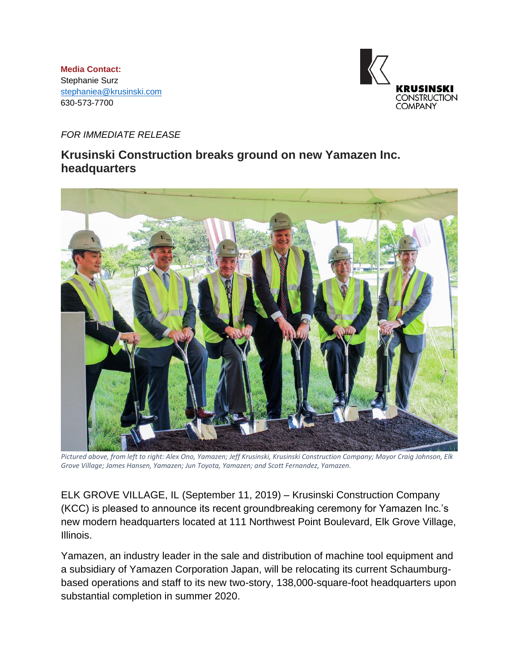**Media Contact:** Stephanie Surz [stephaniea@krusinski.com](mailto:stephaniea@krusinski.com) 630-573-7700



## *FOR IMMEDIATE RELEASE*

## **Krusinski Construction breaks ground on new Yamazen Inc. headquarters**



*Pictured above, from left to right: Alex Ono, Yamazen; Jeff Krusinski, Krusinski Construction Company; Mayor Craig Johnson, Elk Grove Village; James Hansen, Yamazen; Jun Toyota, Yamazen; and Scott Fernandez, Yamazen.*

ELK GROVE VILLAGE, IL (September 11, 2019) – Krusinski Construction Company (KCC) is pleased to announce its recent groundbreaking ceremony for Yamazen Inc.'s new modern headquarters located at 111 Northwest Point Boulevard, Elk Grove Village, Illinois.

Yamazen, an industry leader in the sale and distribution of machine tool equipment and a subsidiary of Yamazen Corporation Japan, will be relocating its current Schaumburgbased operations and staff to its new two-story, 138,000-square-foot headquarters upon substantial completion in summer 2020.